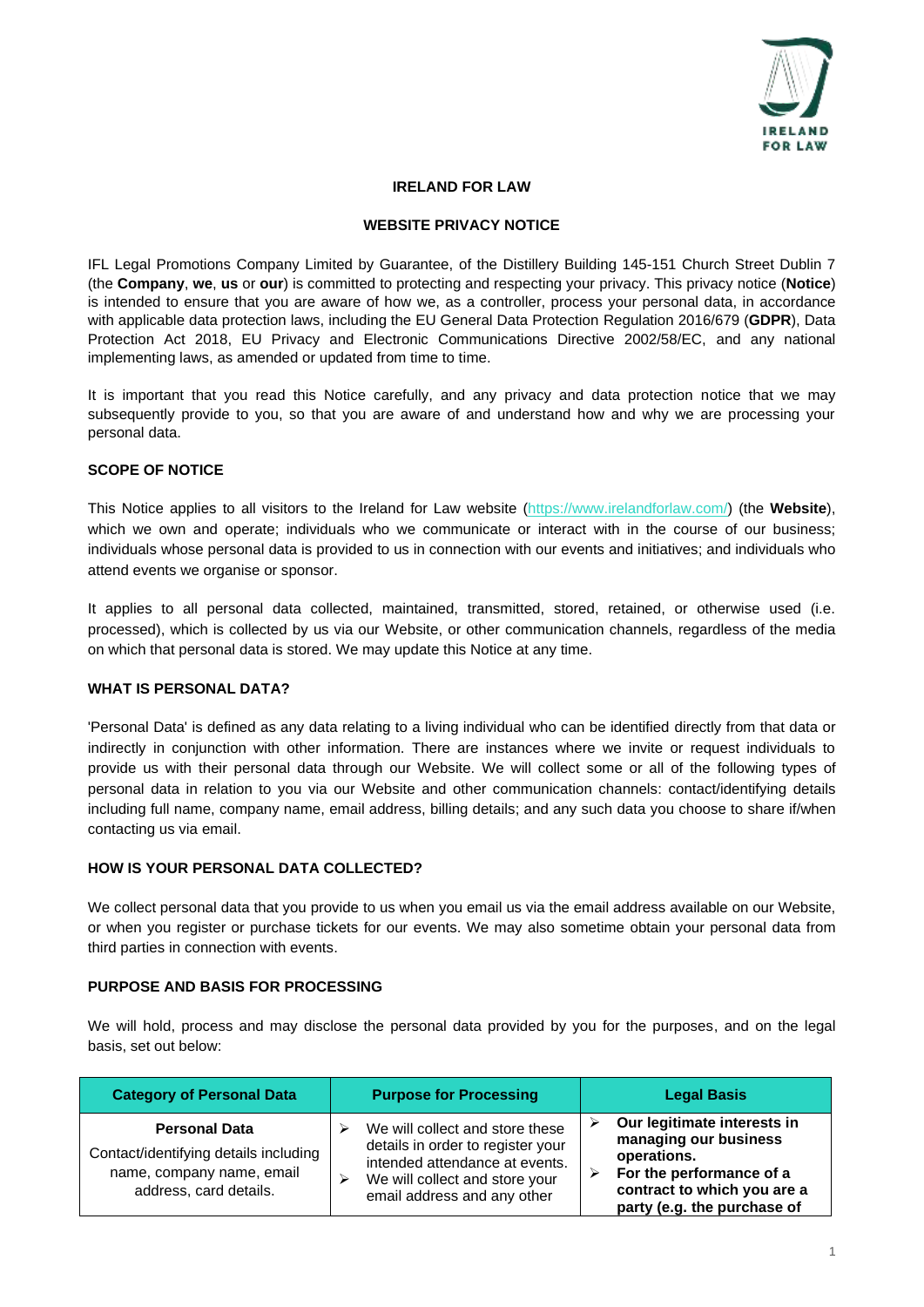

#### **IRELAND FOR LAW**

#### **WEBSITE PRIVACY NOTICE**

IFL Legal Promotions Company Limited by Guarantee, of the Distillery Building 145-151 Church Street Dublin 7 (the **Company**, **we**, **us** or **our**) is committed to protecting and respecting your privacy. This privacy notice (**Notice**) is intended to ensure that you are aware of how we, as a controller, process your personal data, in accordance with applicable data protection laws, including the EU General Data Protection Regulation 2016/679 (**GDPR**), Data Protection Act 2018, EU Privacy and Electronic Communications Directive 2002/58/EC, and any national implementing laws, as amended or updated from time to time.

It is important that you read this Notice carefully, and any privacy and data protection notice that we may subsequently provide to you, so that you are aware of and understand how and why we are processing your personal data.

## **SCOPE OF NOTICE**

This Notice applies to all visitors to the Ireland for Law website [\(https://www.irelandforlaw.com/\)](https://www.irelandforlaw.com/) (the **Website**), which we own and operate; individuals who we communicate or interact with in the course of our business; individuals whose personal data is provided to us in connection with our events and initiatives; and individuals who attend events we organise or sponsor.

It applies to all personal data collected, maintained, transmitted, stored, retained, or otherwise used (i.e. processed), which is collected by us via our Website, or other communication channels, regardless of the media on which that personal data is stored. We may update this Notice at any time.

#### **WHAT IS PERSONAL DATA?**

'Personal Data' is defined as any data relating to a living individual who can be identified directly from that data or indirectly in conjunction with other information. There are instances where we invite or request individuals to provide us with their personal data through our Website. We will collect some or all of the following types of personal data in relation to you via our Website and other communication channels: contact/identifying details including full name, company name, email address, billing details; and any such data you choose to share if/when contacting us via email.

### **HOW IS YOUR PERSONAL DATA COLLECTED?**

We collect personal data that you provide to us when you email us via the email address available on our Website, or when you register or purchase tickets for our events. We may also sometime obtain your personal data from third parties in connection with events.

#### **PURPOSE AND BASIS FOR PROCESSING**

We will hold, process and may disclose the personal data provided by you for the purposes, and on the legal basis, set out below:

| <b>Category of Personal Data</b>                                                                                     | <b>Purpose for Processing</b>                                                                                                                                                | <b>Legal Basis</b>                                                                                                                                            |
|----------------------------------------------------------------------------------------------------------------------|------------------------------------------------------------------------------------------------------------------------------------------------------------------------------|---------------------------------------------------------------------------------------------------------------------------------------------------------------|
| <b>Personal Data</b><br>Contact/identifying details including<br>name, company name, email<br>address, card details. | We will collect and store these<br>details in order to register your<br>intended attendance at events.<br>We will collect and store your<br>↘<br>email address and any other | Our legitimate interests in<br>managing our business<br>operations.<br>For the performance of a<br>contract to which you are a<br>party (e.g. the purchase of |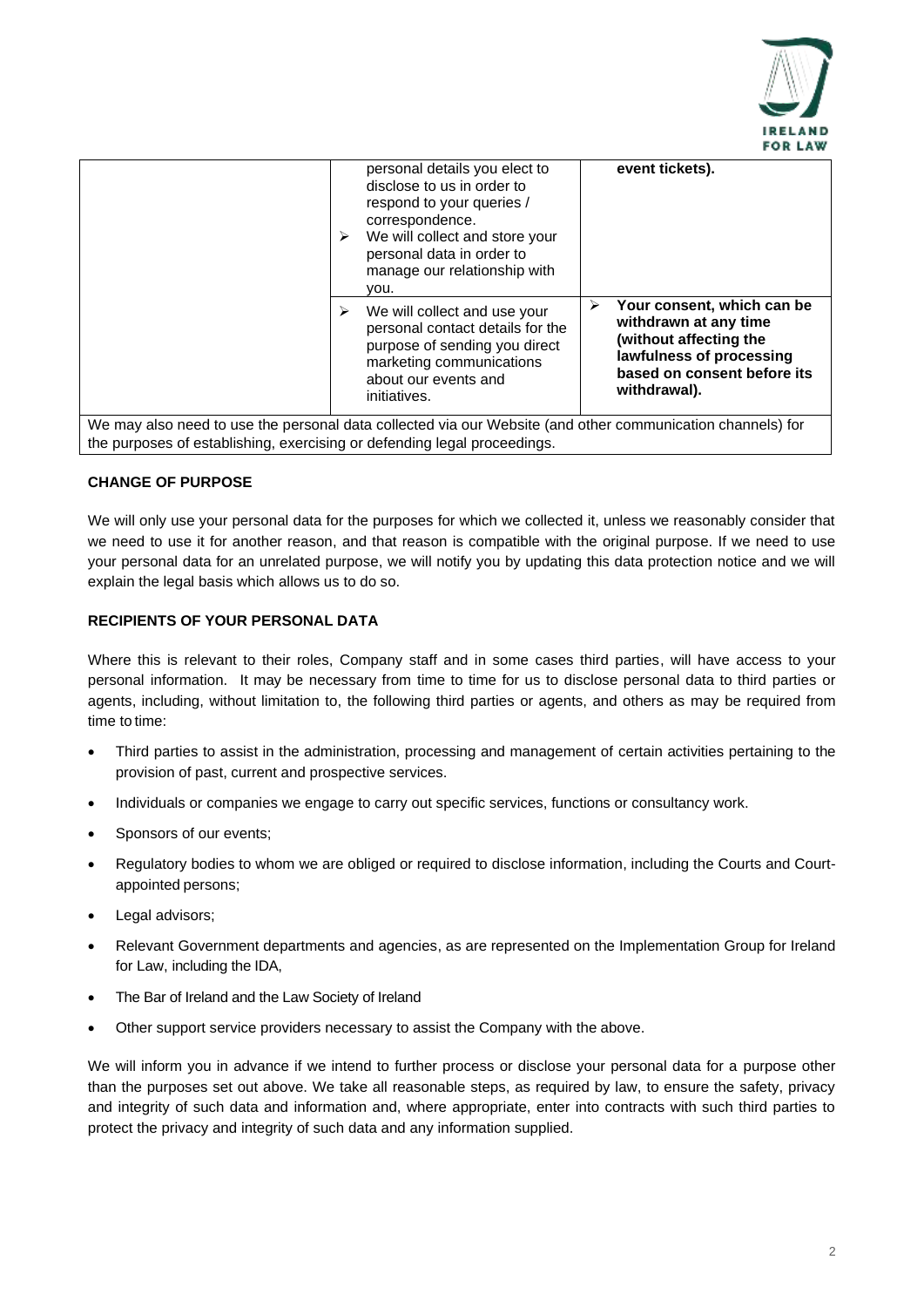

|                                                                          | personal details you elect to<br>disclose to us in order to<br>respond to your queries /<br>correspondence.<br>We will collect and store your<br>⋗<br>personal data in order to<br>manage our relationship with<br>vou. | event tickets).                                                                                                                                               |
|--------------------------------------------------------------------------|-------------------------------------------------------------------------------------------------------------------------------------------------------------------------------------------------------------------------|---------------------------------------------------------------------------------------------------------------------------------------------------------------|
|                                                                          | We will collect and use your<br>⋗<br>personal contact details for the<br>purpose of sending you direct<br>marketing communications<br>about our events and<br>initiatives.                                              | Your consent, which can be<br>⋗<br>withdrawn at any time<br>(without affecting the<br>lawfulness of processing<br>based on consent before its<br>withdrawal). |
| the purposes of establishing, exercising or defending legal proceedings. | We may also need to use the personal data collected via our Website (and other communication channels) for                                                                                                              |                                                                                                                                                               |

**CHANGE OF PURPOSE**

We will only use your personal data for the purposes for which we collected it, unless we reasonably consider that we need to use it for another reason, and that reason is compatible with the original purpose. If we need to use your personal data for an unrelated purpose, we will notify you by updating this data protection notice and we will explain the legal basis which allows us to do so.

# **RECIPIENTS OF YOUR PERSONAL DATA**

Where this is relevant to their roles, Company staff and in some cases third parties, will have access to your personal information. It may be necessary from time to time for us to disclose personal data to third parties or agents, including, without limitation to, the following third parties or agents, and others as may be required from time to time:

- Third parties to assist in the administration, processing and management of certain activities pertaining to the provision of past, current and prospective services.
- Individuals or companies we engage to carry out specific services, functions or consultancy work.
- Sponsors of our events;
- Regulatory bodies to whom we are obliged or required to disclose information, including the Courts and Courtappointed persons;
- Legal advisors;
- Relevant Government departments and agencies, as are represented on the Implementation Group for Ireland for Law, including the IDA,
- The Bar of Ireland and the Law Society of Ireland
- Other support service providers necessary to assist the Company with the above.

We will inform you in advance if we intend to further process or disclose your personal data for a purpose other than the purposes set out above. We take all reasonable steps, as required by law, to ensure the safety, privacy and integrity of such data and information and, where appropriate, enter into contracts with such third parties to protect the privacy and integrity of such data and any information supplied.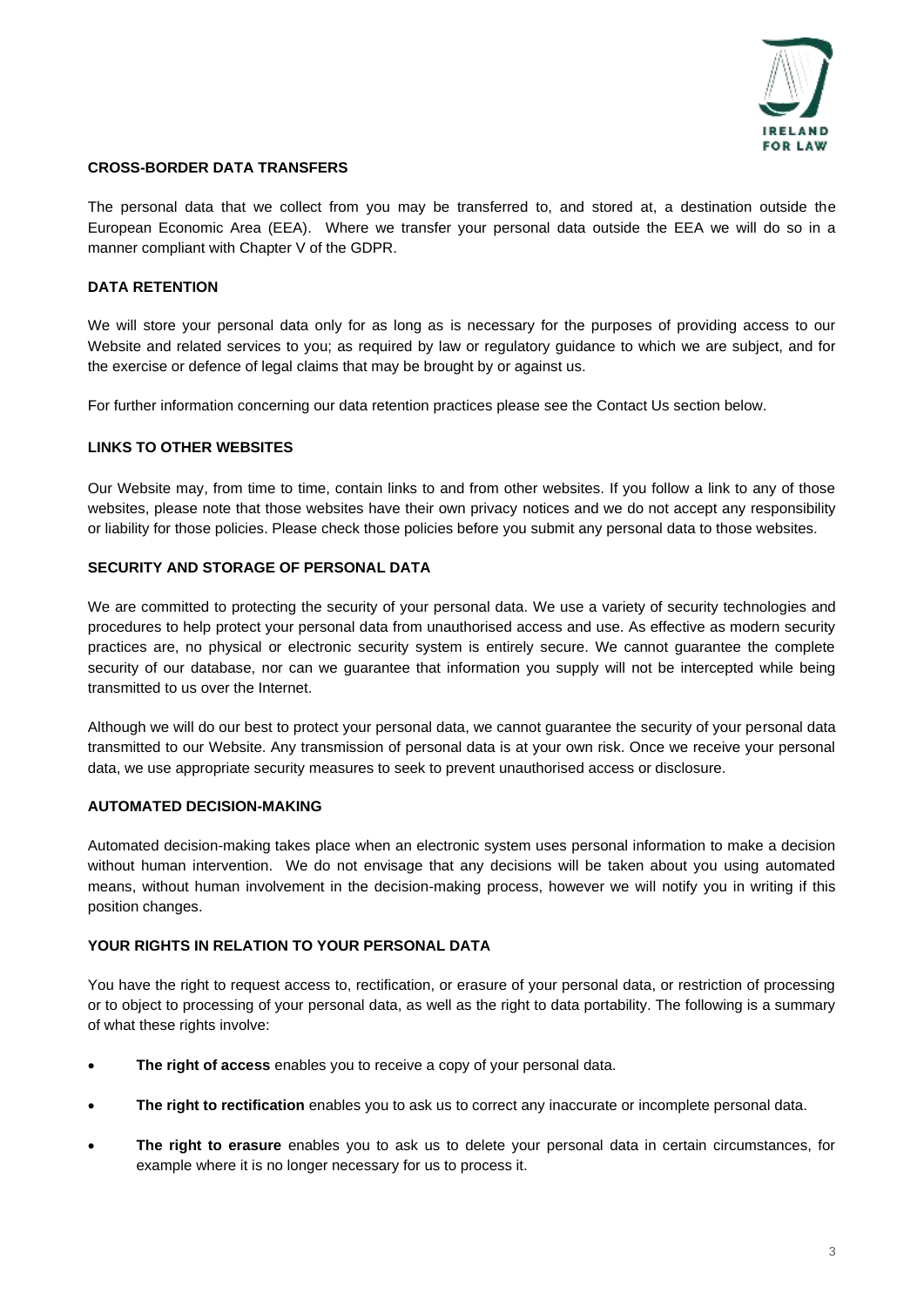

## **CROSS-BORDER DATA TRANSFERS**

The personal data that we collect from you may be transferred to, and stored at, a destination outside the European Economic Area (EEA). Where we transfer your personal data outside the EEA we will do so in a manner compliant with Chapter V of the GDPR.

# **DATA RETENTION**

We will store your personal data only for as long as is necessary for the purposes of providing access to our Website and related services to you; as required by law or regulatory guidance to which we are subject, and for the exercise or defence of legal claims that may be brought by or against us.

For further information concerning our data retention practices please see the Contact Us section below.

#### **LINKS TO OTHER WEBSITES**

Our Website may, from time to time, contain links to and from other websites. If you follow a link to any of those websites, please note that those websites have their own privacy notices and we do not accept any responsibility or liability for those policies. Please check those policies before you submit any personal data to those websites.

## **SECURITY AND STORAGE OF PERSONAL DATA**

We are committed to protecting the security of your personal data. We use a variety of security technologies and procedures to help protect your personal data from unauthorised access and use. As effective as modern security practices are, no physical or electronic security system is entirely secure. We cannot guarantee the complete security of our database, nor can we guarantee that information you supply will not be intercepted while being transmitted to us over the Internet.

Although we will do our best to protect your personal data, we cannot guarantee the security of your personal data transmitted to our Website. Any transmission of personal data is at your own risk. Once we receive your personal data, we use appropriate security measures to seek to prevent unauthorised access or disclosure.

## **AUTOMATED DECISION-MAKING**

Automated decision-making takes place when an electronic system uses personal information to make a decision without human intervention. We do not envisage that any decisions will be taken about you using automated means, without human involvement in the decision-making process, however we will notify you in writing if this position changes.

# **YOUR RIGHTS IN RELATION TO YOUR PERSONAL DATA**

You have the right to request access to, rectification, or erasure of your personal data, or restriction of processing or to object to processing of your personal data, as well as the right to data portability. The following is a summary of what these rights involve:

- **The right of access** enables you to receive a copy of your personal data.
- **The right to rectification** enables you to ask us to correct any inaccurate or incomplete personal data.
- **The right to erasure** enables you to ask us to delete your personal data in certain circumstances, for example where it is no longer necessary for us to process it.